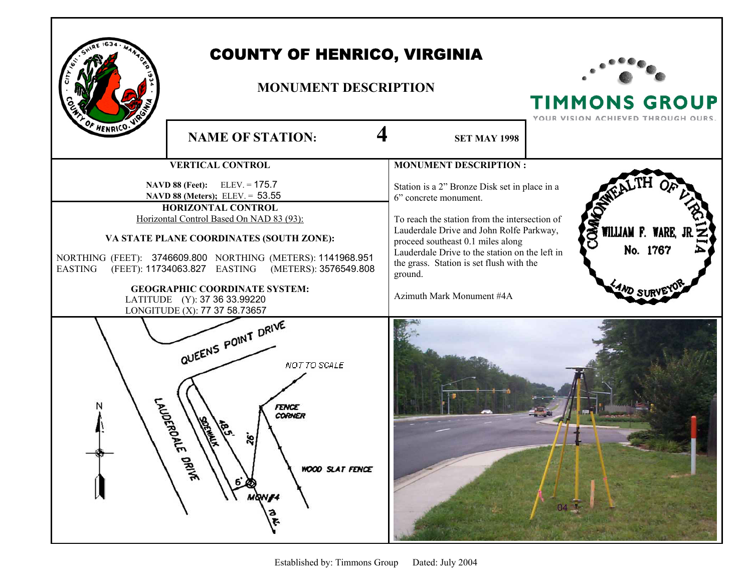